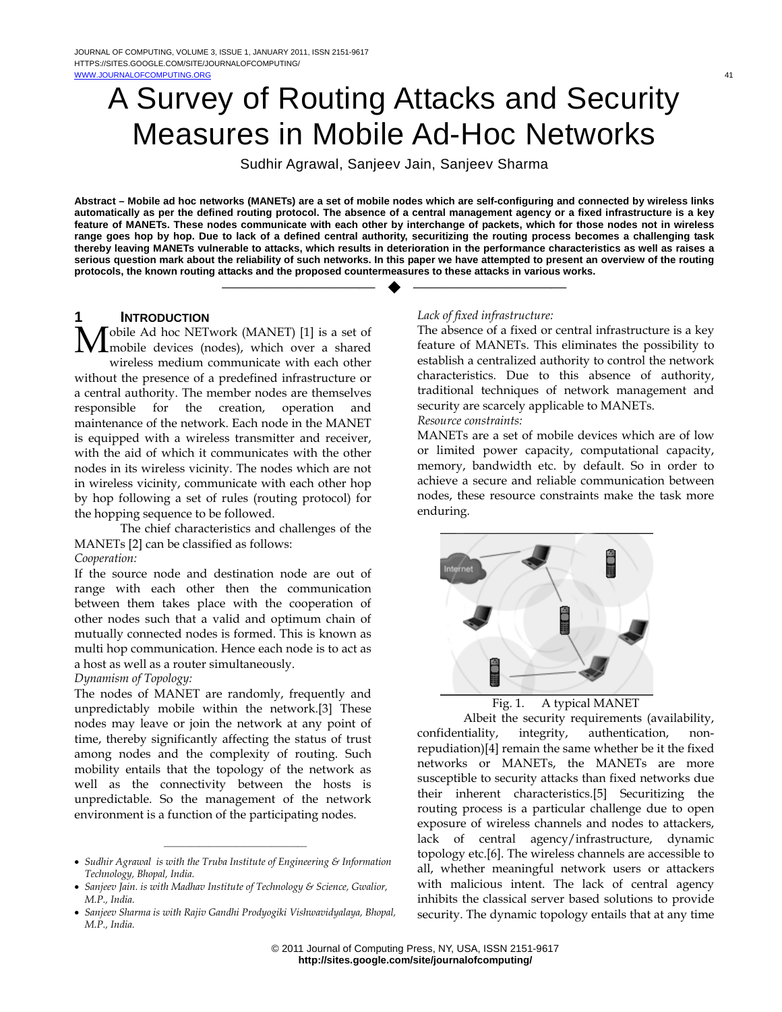# A Survey of Routing Attacks and Security Measures in Mobile Ad-Hoc Networks

Sudhir Agrawal, Sanjeev Jain, Sanjeev Sharma

**Abstract – Mobile ad hoc networks (MANETs) are a set of mobile nodes which are self-configuring and connected by wireless links automatically as per the defined routing protocol. The absence of a central management agency or a fixed infrastructure is a key feature of MANETs. These nodes communicate with each other by interchange of packets, which for those nodes not in wireless range goes hop by hop. Due to lack of a defined central authority, securitizing the routing process becomes a challenging task thereby leaving MANETs vulnerable to attacks, which results in deterioration in the performance characteristics as well as raises a serious question mark about the reliability of such networks. In this paper we have attempted to present an overview of the routing protocols, the known routing attacks and the proposed countermeasures to these attacks in various works.** 

—————————— ——————————

# **1 INTRODUCTION**

obile Ad hoc NETwork (MANET) [1] is a set of mobile devices (nodes), which over a shared wireless medium communicate with each other without the presence of a predefined infrastructure or a central authority. The member nodes are themselves responsible for the creation, operation and maintenance of the network. Each node in the MANET is equipped with a wireless transmitter and receiver, with the aid of which it communicates with the other nodes in its wireless vicinity. The nodes which are not in wireless vicinity, communicate with each other hop by hop following a set of rules (routing protocol) for the hopping sequence to be followed. M

The chief characteristics and challenges of the MANETs [2] can be classified as follows:

### *Cooperation:*

If the source node and destination node are out of range with each other then the communication between them takes place with the cooperation of other nodes such that a valid and optimum chain of mutually connected nodes is formed. This is known as multi hop communication. Hence each node is to act as a host as well as a router simultaneously.

### *Dynamism of Topology:*

The nodes of MANET are randomly, frequently and unpredictably mobile within the network.[3] These nodes may leave or join the network at any point of time, thereby significantly affecting the status of trust among nodes and the complexity of routing. Such mobility entails that the topology of the network as well as the connectivity between the hosts is unpredictable. So the management of the network environment is a function of the participating nodes.

### *Lack of fixed infrastructure:*

The absence of a fixed or central infrastructure is a key feature of MANETs. This eliminates the possibility to establish a centralized authority to control the network characteristics. Due to this absence of authority, traditional techniques of network management and security are scarcely applicable to MANETs.

*Resource constraints:* 

MANETs are a set of mobile devices which are of low or limited power capacity, computational capacity, memory, bandwidth etc. by default. So in order to achieve a secure and reliable communication between nodes, these resource constraints make the task more enduring.



Fig. 1. A typical MANET

Albeit the security requirements (availability, confidentiality, integrity, authentication, nonrepudiation)[4] remain the same whether be it the fixed networks or MANETs, the MANETs are more susceptible to security attacks than fixed networks due their inherent characteristics.[5] Securitizing the routing process is a particular challenge due to open exposure of wireless channels and nodes to attackers, lack of central agency/infrastructure, dynamic topology etc.[6]. The wireless channels are accessible to all, whether meaningful network users or attackers with malicious intent. The lack of central agency inhibits the classical server based solutions to provide security. The dynamic topology entails that at any time

<sup>————————————————</sup> *Sudhir Agrawal is with the Truba Institute of Engineering & Information Technology, Bhopal, India.* 

*Sanjeev Jain. is with Madhav Institute of Technology & Science, Gwalior, M.P., India.* 

*Sanjeev Sharma is with Rajiv Gandhi Prodyogiki Vishwavidyalaya, Bhopal, M.P., India.*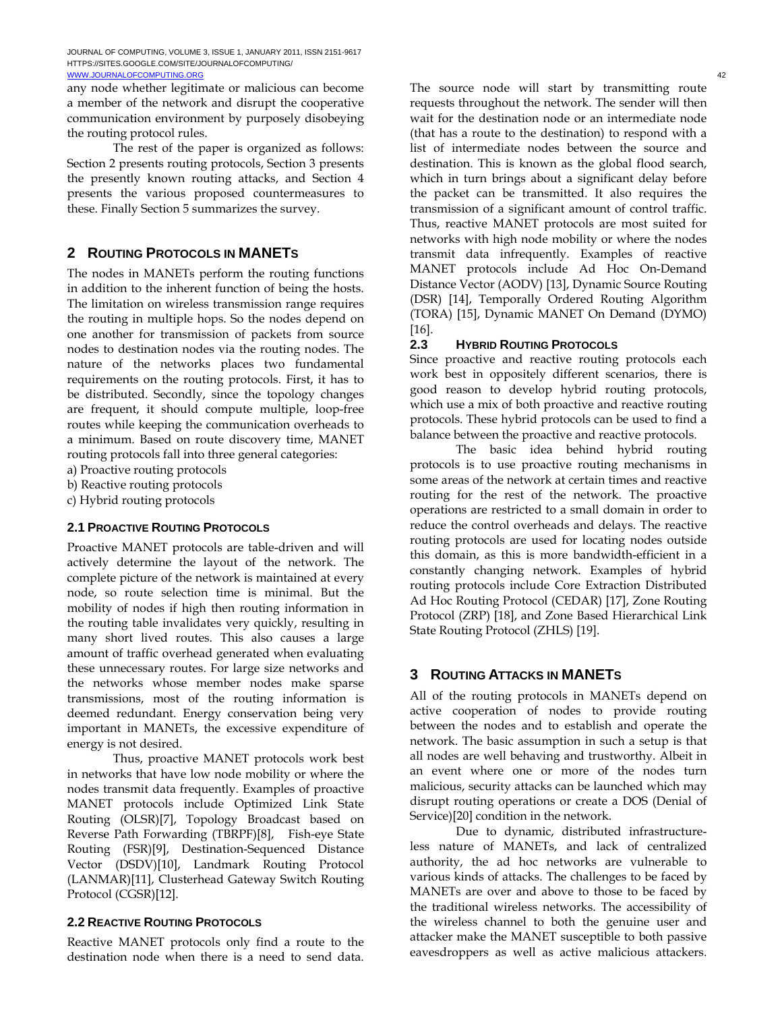any node whether legitimate or malicious can become a member of the network and disrupt the cooperative communication environment by purposely disobeying the routing protocol rules.

 The rest of the paper is organized as follows: Section 2 presents routing protocols, Section 3 presents the presently known routing attacks, and Section 4 presents the various proposed countermeasures to these. Finally Section 5 summarizes the survey.

# **2 ROUTING PROTOCOLS IN MANETS**

The nodes in MANETs perform the routing functions in addition to the inherent function of being the hosts. The limitation on wireless transmission range requires the routing in multiple hops. So the nodes depend on one another for transmission of packets from source nodes to destination nodes via the routing nodes. The nature of the networks places two fundamental requirements on the routing protocols. First, it has to be distributed. Secondly, since the topology changes are frequent, it should compute multiple, loop-free routes while keeping the communication overheads to a minimum. Based on route discovery time, MANET routing protocols fall into three general categories:

- a) Proactive routing protocols
- b) Reactive routing protocols
- c) Hybrid routing protocols

### **2.1 PROACTIVE ROUTING PROTOCOLS**

Proactive MANET protocols are table-driven and will actively determine the layout of the network. The complete picture of the network is maintained at every node, so route selection time is minimal. But the mobility of nodes if high then routing information in the routing table invalidates very quickly, resulting in many short lived routes. This also causes a large amount of traffic overhead generated when evaluating these unnecessary routes. For large size networks and the networks whose member nodes make sparse transmissions, most of the routing information is deemed redundant. Energy conservation being very important in MANETs, the excessive expenditure of energy is not desired.

 Thus, proactive MANET protocols work best in networks that have low node mobility or where the nodes transmit data frequently. Examples of proactive MANET protocols include Optimized Link State Routing (OLSR)[7], Topology Broadcast based on Reverse Path Forwarding (TBRPF)[8], Fish-eye State Routing (FSR)[9], Destination-Sequenced Distance Vector (DSDV)[10], Landmark Routing Protocol (LANMAR)[11], Clusterhead Gateway Switch Routing Protocol (CGSR)[12].

### **2.2 REACTIVE ROUTING PROTOCOLS**

Reactive MANET protocols only find a route to the destination node when there is a need to send data.

The source node will start by transmitting route requests throughout the network. The sender will then wait for the destination node or an intermediate node (that has a route to the destination) to respond with a list of intermediate nodes between the source and destination. This is known as the global flood search, which in turn brings about a significant delay before the packet can be transmitted. It also requires the transmission of a significant amount of control traffic. Thus, reactive MANET protocols are most suited for networks with high node mobility or where the nodes transmit data infrequently. Examples of reactive MANET protocols include Ad Hoc On-Demand Distance Vector (AODV) [13], Dynamic Source Routing (DSR) [14], Temporally Ordered Routing Algorithm (TORA) [15], Dynamic MANET On Demand (DYMO) [16].

### **2.3 HYBRID ROUTING PROTOCOLS**

Since proactive and reactive routing protocols each work best in oppositely different scenarios, there is good reason to develop hybrid routing protocols, which use a mix of both proactive and reactive routing protocols. These hybrid protocols can be used to find a balance between the proactive and reactive protocols.

The basic idea behind hybrid routing protocols is to use proactive routing mechanisms in some areas of the network at certain times and reactive routing for the rest of the network. The proactive operations are restricted to a small domain in order to reduce the control overheads and delays. The reactive routing protocols are used for locating nodes outside this domain, as this is more bandwidth-efficient in a constantly changing network. Examples of hybrid routing protocols include Core Extraction Distributed Ad Hoc Routing Protocol (CEDAR) [17], Zone Routing Protocol (ZRP) [18], and Zone Based Hierarchical Link State Routing Protocol (ZHLS) [19].

# **3 ROUTING ATTACKS IN MANETS**

All of the routing protocols in MANETs depend on active cooperation of nodes to provide routing between the nodes and to establish and operate the network. The basic assumption in such a setup is that all nodes are well behaving and trustworthy. Albeit in an event where one or more of the nodes turn malicious, security attacks can be launched which may disrupt routing operations or create a DOS (Denial of Service)[20] condition in the network.

Due to dynamic, distributed infrastructureless nature of MANETs, and lack of centralized authority, the ad hoc networks are vulnerable to various kinds of attacks. The challenges to be faced by MANETs are over and above to those to be faced by the traditional wireless networks. The accessibility of the wireless channel to both the genuine user and attacker make the MANET susceptible to both passive eavesdroppers as well as active malicious attackers.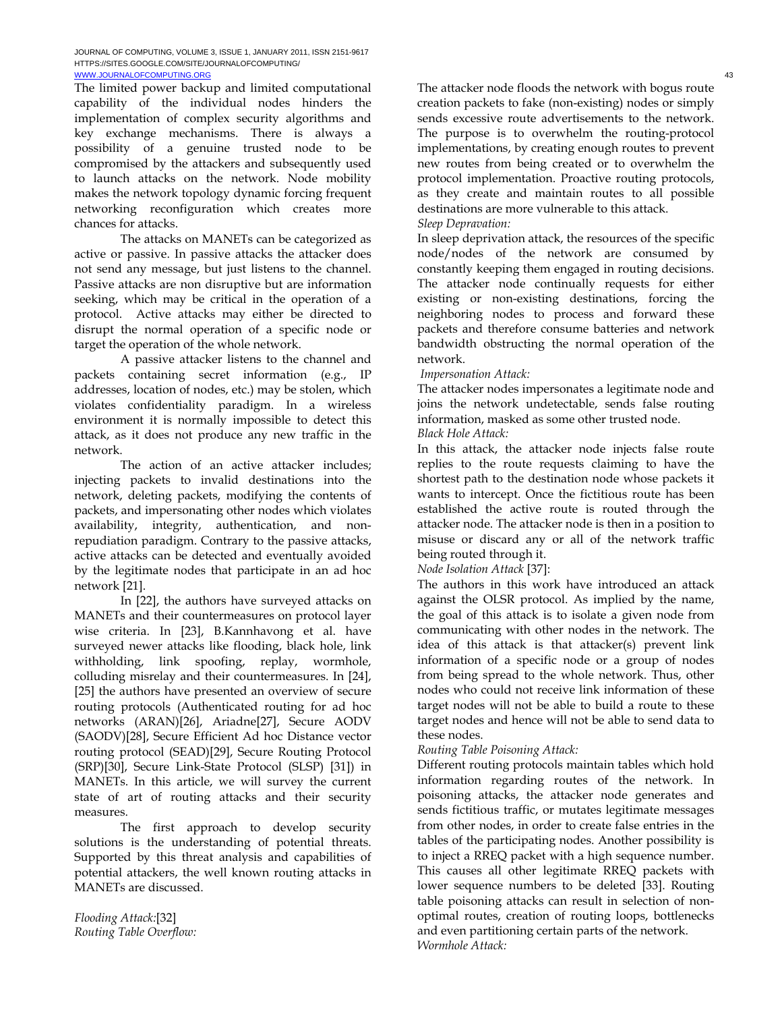The limited power backup and limited computational capability of the individual nodes hinders the implementation of complex security algorithms and key exchange mechanisms. There is always a possibility of a genuine trusted node to be compromised by the attackers and subsequently used to launch attacks on the network. Node mobility makes the network topology dynamic forcing frequent networking reconfiguration which creates more chances for attacks.

 The attacks on MANETs can be categorized as active or passive. In passive attacks the attacker does not send any message, but just listens to the channel. Passive attacks are non disruptive but are information seeking, which may be critical in the operation of a protocol. Active attacks may either be directed to disrupt the normal operation of a specific node or target the operation of the whole network.

 A passive attacker listens to the channel and packets containing secret information (e.g., IP addresses, location of nodes, etc.) may be stolen, which violates confidentiality paradigm. In a wireless environment it is normally impossible to detect this attack, as it does not produce any new traffic in the network.

 The action of an active attacker includes; injecting packets to invalid destinations into the network, deleting packets, modifying the contents of packets, and impersonating other nodes which violates availability, integrity, authentication, and nonrepudiation paradigm. Contrary to the passive attacks, active attacks can be detected and eventually avoided by the legitimate nodes that participate in an ad hoc network [21].

 In [22], the authors have surveyed attacks on MANETs and their countermeasures on protocol layer wise criteria. In [23], B.Kannhavong et al. have surveyed newer attacks like flooding, black hole, link withholding, link spoofing, replay, wormhole, colluding misrelay and their countermeasures. In [24], [25] the authors have presented an overview of secure routing protocols (Authenticated routing for ad hoc networks (ARAN)[26], Ariadne[27], Secure AODV (SAODV)[28], Secure Efficient Ad hoc Distance vector routing protocol (SEAD)[29], Secure Routing Protocol (SRP)[30], Secure Link-State Protocol (SLSP) [31]) in MANETs. In this article, we will survey the current state of art of routing attacks and their security measures.

 The first approach to develop security solutions is the understanding of potential threats. Supported by this threat analysis and capabilities of potential attackers, the well known routing attacks in MANETs are discussed.

*Flooding Attack:*[32] *Routing Table Overflow:* The attacker node floods the network with bogus route creation packets to fake (non-existing) nodes or simply sends excessive route advertisements to the network. The purpose is to overwhelm the routing-protocol implementations, by creating enough routes to prevent new routes from being created or to overwhelm the protocol implementation. Proactive routing protocols, as they create and maintain routes to all possible destinations are more vulnerable to this attack. *Sleep Depravation:*

In sleep deprivation attack, the resources of the specific node/nodes of the network are consumed by constantly keeping them engaged in routing decisions. The attacker node continually requests for either existing or non-existing destinations, forcing the neighboring nodes to process and forward these packets and therefore consume batteries and network bandwidth obstructing the normal operation of the network.

### *Impersonation Attack:*

The attacker nodes impersonates a legitimate node and joins the network undetectable, sends false routing information, masked as some other trusted node.

# *Black Hole Attack:*

In this attack, the attacker node injects false route replies to the route requests claiming to have the shortest path to the destination node whose packets it wants to intercept. Once the fictitious route has been established the active route is routed through the attacker node. The attacker node is then in a position to misuse or discard any or all of the network traffic being routed through it.

### *Node Isolation Attack* [37]:

The authors in this work have introduced an attack against the OLSR protocol. As implied by the name, the goal of this attack is to isolate a given node from communicating with other nodes in the network. The idea of this attack is that attacker(s) prevent link information of a specific node or a group of nodes from being spread to the whole network. Thus, other nodes who could not receive link information of these target nodes will not be able to build a route to these target nodes and hence will not be able to send data to these nodes.

### *Routing Table Poisoning Attack:*

Different routing protocols maintain tables which hold information regarding routes of the network. In poisoning attacks, the attacker node generates and sends fictitious traffic, or mutates legitimate messages from other nodes, in order to create false entries in the tables of the participating nodes. Another possibility is to inject a RREQ packet with a high sequence number. This causes all other legitimate RREQ packets with lower sequence numbers to be deleted [33]. Routing table poisoning attacks can result in selection of nonoptimal routes, creation of routing loops, bottlenecks and even partitioning certain parts of the network. *Wormhole Attack:*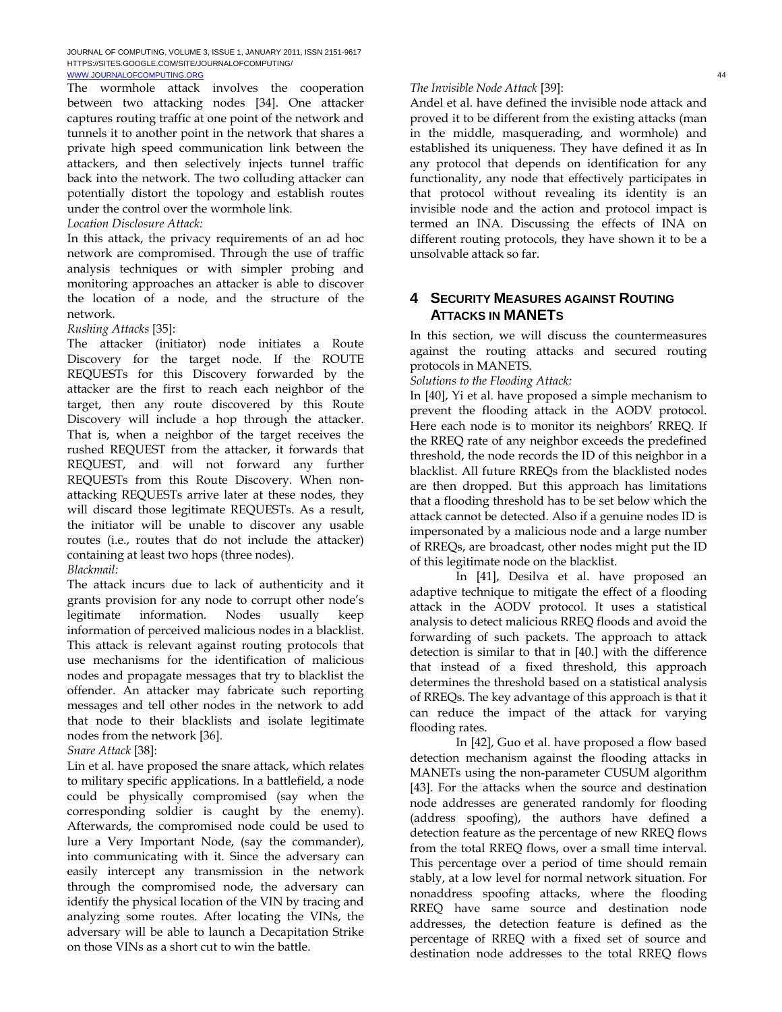The wormhole attack involves the cooperation between two attacking nodes [34]. One attacker captures routing traffic at one point of the network and tunnels it to another point in the network that shares a private high speed communication link between the attackers, and then selectively injects tunnel traffic back into the network. The two colluding attacker can potentially distort the topology and establish routes under the control over the wormhole link.

*Location Disclosure Attack:* 

In this attack, the privacy requirements of an ad hoc network are compromised. Through the use of traffic analysis techniques or with simpler probing and monitoring approaches an attacker is able to discover the location of a node, and the structure of the network.

*Rushing Attacks* [35]:

The attacker (initiator) node initiates a Route Discovery for the target node. If the ROUTE REQUESTs for this Discovery forwarded by the attacker are the first to reach each neighbor of the target, then any route discovered by this Route Discovery will include a hop through the attacker. That is, when a neighbor of the target receives the rushed REQUEST from the attacker, it forwards that REQUEST, and will not forward any further REQUESTs from this Route Discovery. When nonattacking REQUESTs arrive later at these nodes, they will discard those legitimate REQUESTs. As a result, the initiator will be unable to discover any usable routes (i.e., routes that do not include the attacker) containing at least two hops (three nodes).

*Blackmail:* 

The attack incurs due to lack of authenticity and it grants provision for any node to corrupt other node's legitimate information. Nodes usually keep information of perceived malicious nodes in a blacklist. This attack is relevant against routing protocols that use mechanisms for the identification of malicious nodes and propagate messages that try to blacklist the offender. An attacker may fabricate such reporting messages and tell other nodes in the network to add that node to their blacklists and isolate legitimate nodes from the network [36].

*Snare Attack* [38]:

Lin et al. have proposed the snare attack, which relates to military specific applications. In a battlefield, a node could be physically compromised (say when the corresponding soldier is caught by the enemy). Afterwards, the compromised node could be used to lure a Very Important Node, (say the commander), into communicating with it. Since the adversary can easily intercept any transmission in the network through the compromised node, the adversary can identify the physical location of the VIN by tracing and analyzing some routes. After locating the VINs, the adversary will be able to launch a Decapitation Strike on those VINs as a short cut to win the battle.

### *The Invisible Node Attack* [39]:

Andel et al. have defined the invisible node attack and proved it to be different from the existing attacks (man in the middle, masquerading, and wormhole) and established its uniqueness. They have defined it as In any protocol that depends on identification for any functionality, any node that effectively participates in that protocol without revealing its identity is an invisible node and the action and protocol impact is termed an INA. Discussing the effects of INA on different routing protocols, they have shown it to be a unsolvable attack so far.

# **4 SECURITY MEASURES AGAINST ROUTING ATTACKS IN MANETS**

In this section, we will discuss the countermeasures against the routing attacks and secured routing protocols in MANETS.

*Solutions to the Flooding Attack:* 

In [40], Yi et al. have proposed a simple mechanism to prevent the flooding attack in the AODV protocol. Here each node is to monitor its neighbors' RREQ. If the RREQ rate of any neighbor exceeds the predefined threshold, the node records the ID of this neighbor in a blacklist. All future RREQs from the blacklisted nodes are then dropped. But this approach has limitations that a flooding threshold has to be set below which the attack cannot be detected. Also if a genuine nodes ID is impersonated by a malicious node and a large number of RREQs, are broadcast, other nodes might put the ID of this legitimate node on the blacklist.

 In [41], Desilva et al. have proposed an adaptive technique to mitigate the effect of a flooding attack in the AODV protocol. It uses a statistical analysis to detect malicious RREQ floods and avoid the forwarding of such packets. The approach to attack detection is similar to that in [40.] with the difference that instead of a fixed threshold, this approach determines the threshold based on a statistical analysis of RREQs. The key advantage of this approach is that it can reduce the impact of the attack for varying flooding rates.

 In [42], Guo et al. have proposed a flow based detection mechanism against the flooding attacks in MANETs using the non-parameter CUSUM algorithm [43]. For the attacks when the source and destination node addresses are generated randomly for flooding (address spoofing), the authors have defined a detection feature as the percentage of new RREQ flows from the total RREQ flows, over a small time interval. This percentage over a period of time should remain stably, at a low level for normal network situation. For nonaddress spoofing attacks, where the flooding RREQ have same source and destination node addresses, the detection feature is defined as the percentage of RREQ with a fixed set of source and destination node addresses to the total RREQ flows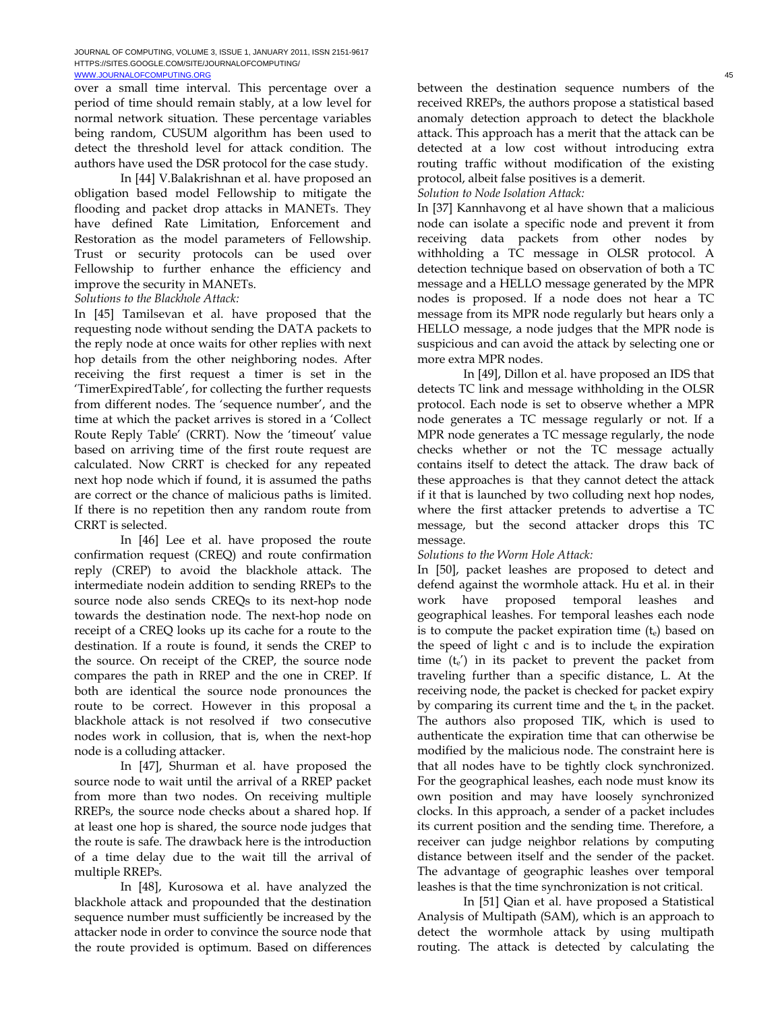over a small time interval. This percentage over a period of time should remain stably, at a low level for normal network situation. These percentage variables being random, CUSUM algorithm has been used to detect the threshold level for attack condition. The authors have used the DSR protocol for the case study.

 In [44] V.Balakrishnan et al. have proposed an obligation based model Fellowship to mitigate the flooding and packet drop attacks in MANETs. They have defined Rate Limitation, Enforcement and Restoration as the model parameters of Fellowship. Trust or security protocols can be used over Fellowship to further enhance the efficiency and improve the security in MANETs.

### *Solutions to the Blackhole Attack:*

In [45] Tamilsevan et al. have proposed that the requesting node without sending the DATA packets to the reply node at once waits for other replies with next hop details from the other neighboring nodes. After receiving the first request a timer is set in the 'TimerExpiredTable', for collecting the further requests from different nodes. The 'sequence number', and the time at which the packet arrives is stored in a 'Collect Route Reply Table' (CRRT). Now the 'timeout' value based on arriving time of the first route request are calculated. Now CRRT is checked for any repeated next hop node which if found, it is assumed the paths are correct or the chance of malicious paths is limited. If there is no repetition then any random route from CRRT is selected.

 In [46] Lee et al. have proposed the route confirmation request (CREQ) and route confirmation reply (CREP) to avoid the blackhole attack. The intermediate nodein addition to sending RREPs to the source node also sends CREQs to its next-hop node towards the destination node. The next-hop node on receipt of a CREQ looks up its cache for a route to the destination. If a route is found, it sends the CREP to the source. On receipt of the CREP, the source node compares the path in RREP and the one in CREP. If both are identical the source node pronounces the route to be correct. However in this proposal a blackhole attack is not resolved if two consecutive nodes work in collusion, that is, when the next-hop node is a colluding attacker.

 In [47], Shurman et al. have proposed the source node to wait until the arrival of a RREP packet from more than two nodes. On receiving multiple RREPs, the source node checks about a shared hop. If at least one hop is shared, the source node judges that the route is safe. The drawback here is the introduction of a time delay due to the wait till the arrival of multiple RREPs.

 In [48], Kurosowa et al. have analyzed the blackhole attack and propounded that the destination sequence number must sufficiently be increased by the attacker node in order to convince the source node that the route provided is optimum. Based on differences

between the destination sequence numbers of the received RREPs, the authors propose a statistical based anomaly detection approach to detect the blackhole attack. This approach has a merit that the attack can be detected at a low cost without introducing extra routing traffic without modification of the existing protocol, albeit false positives is a demerit.

*Solution to Node Isolation Attack:* 

In [37] Kannhavong et al have shown that a malicious node can isolate a specific node and prevent it from receiving data packets from other nodes by withholding a TC message in OLSR protocol. A detection technique based on observation of both a TC message and a HELLO message generated by the MPR nodes is proposed. If a node does not hear a TC message from its MPR node regularly but hears only a HELLO message, a node judges that the MPR node is suspicious and can avoid the attack by selecting one or more extra MPR nodes.

 In [49], Dillon et al. have proposed an IDS that detects TC link and message withholding in the OLSR protocol. Each node is set to observe whether a MPR node generates a TC message regularly or not. If a MPR node generates a TC message regularly, the node checks whether or not the TC message actually contains itself to detect the attack. The draw back of these approaches is that they cannot detect the attack if it that is launched by two colluding next hop nodes, where the first attacker pretends to advertise a TC message, but the second attacker drops this TC message.

#### *Solutions to the Worm Hole Attack:*

In [50], packet leashes are proposed to detect and defend against the wormhole attack. Hu et al. in their work have proposed temporal leashes and geographical leashes. For temporal leashes each node is to compute the packet expiration time  $(t_e)$  based on the speed of light c and is to include the expiration time  $(t_e)$  in its packet to prevent the packet from traveling further than a specific distance, L. At the receiving node, the packet is checked for packet expiry by comparing its current time and the  $t<sub>e</sub>$  in the packet. The authors also proposed TIK, which is used to authenticate the expiration time that can otherwise be modified by the malicious node. The constraint here is that all nodes have to be tightly clock synchronized. For the geographical leashes, each node must know its own position and may have loosely synchronized clocks. In this approach, a sender of a packet includes its current position and the sending time. Therefore, a receiver can judge neighbor relations by computing distance between itself and the sender of the packet. The advantage of geographic leashes over temporal leashes is that the time synchronization is not critical.

 In [51] Qian et al. have proposed a Statistical Analysis of Multipath (SAM), which is an approach to detect the wormhole attack by using multipath routing. The attack is detected by calculating the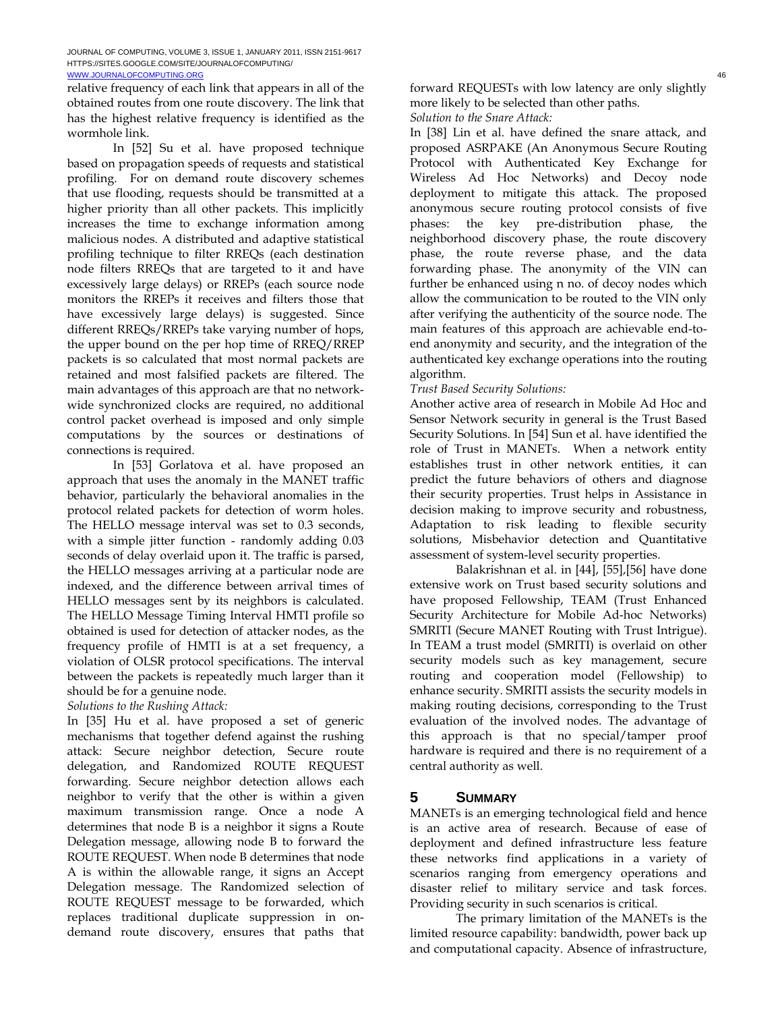relative frequency of each link that appears in all of the obtained routes from one route discovery. The link that has the highest relative frequency is identified as the wormhole link.

 In [52] Su et al. have proposed technique based on propagation speeds of requests and statistical profiling. For on demand route discovery schemes that use flooding, requests should be transmitted at a higher priority than all other packets. This implicitly increases the time to exchange information among malicious nodes. A distributed and adaptive statistical profiling technique to filter RREQs (each destination node filters RREQs that are targeted to it and have excessively large delays) or RREPs (each source node monitors the RREPs it receives and filters those that have excessively large delays) is suggested. Since different RREQs/RREPs take varying number of hops, the upper bound on the per hop time of RREQ/RREP packets is so calculated that most normal packets are retained and most falsified packets are filtered. The main advantages of this approach are that no networkwide synchronized clocks are required, no additional control packet overhead is imposed and only simple computations by the sources or destinations of connections is required.

 In [53] Gorlatova et al. have proposed an approach that uses the anomaly in the MANET traffic behavior, particularly the behavioral anomalies in the protocol related packets for detection of worm holes. The HELLO message interval was set to 0.3 seconds, with a simple jitter function - randomly adding 0.03 seconds of delay overlaid upon it. The traffic is parsed, the HELLO messages arriving at a particular node are indexed, and the difference between arrival times of HELLO messages sent by its neighbors is calculated. The HELLO Message Timing Interval HMTI profile so obtained is used for detection of attacker nodes, as the frequency profile of HMTI is at a set frequency, a violation of OLSR protocol specifications. The interval between the packets is repeatedly much larger than it should be for a genuine node.

*Solutions to the Rushing Attack:* 

In [35] Hu et al. have proposed a set of generic mechanisms that together defend against the rushing attack: Secure neighbor detection, Secure route delegation, and Randomized ROUTE REQUEST forwarding. Secure neighbor detection allows each neighbor to verify that the other is within a given maximum transmission range. Once a node A determines that node B is a neighbor it signs a Route Delegation message, allowing node B to forward the ROUTE REQUEST. When node B determines that node A is within the allowable range, it signs an Accept Delegation message. The Randomized selection of ROUTE REQUEST message to be forwarded, which replaces traditional duplicate suppression in ondemand route discovery, ensures that paths that forward REQUESTs with low latency are only slightly more likely to be selected than other paths. *Solution to the Snare Attack:* 

In [38] Lin et al. have defined the snare attack, and proposed ASRPAKE (An Anonymous Secure Routing Protocol with Authenticated Key Exchange for Wireless Ad Hoc Networks) and Decoy node deployment to mitigate this attack. The proposed anonymous secure routing protocol consists of five phases: the key pre-distribution phase, the neighborhood discovery phase, the route discovery phase, the route reverse phase, and the data forwarding phase. The anonymity of the VIN can further be enhanced using n no. of decoy nodes which allow the communication to be routed to the VIN only after verifying the authenticity of the source node. The main features of this approach are achievable end-toend anonymity and security, and the integration of the authenticated key exchange operations into the routing algorithm.

### *Trust Based Security Solutions:*

Another active area of research in Mobile Ad Hoc and Sensor Network security in general is the Trust Based Security Solutions. In [54] Sun et al. have identified the role of Trust in MANETs. When a network entity establishes trust in other network entities, it can predict the future behaviors of others and diagnose their security properties. Trust helps in Assistance in decision making to improve security and robustness, Adaptation to risk leading to flexible security solutions, Misbehavior detection and Quantitative assessment of system-level security properties.

 Balakrishnan et al. in [44], [55],[56] have done extensive work on Trust based security solutions and have proposed Fellowship, TEAM (Trust Enhanced Security Architecture for Mobile Ad-hoc Networks) SMRITI (Secure MANET Routing with Trust Intrigue). In TEAM a trust model (SMRITI) is overlaid on other security models such as key management, secure routing and cooperation model (Fellowship) to enhance security. SMRITI assists the security models in making routing decisions, corresponding to the Trust evaluation of the involved nodes. The advantage of this approach is that no special/tamper proof hardware is required and there is no requirement of a central authority as well.

# **5 SUMMARY**

MANETs is an emerging technological field and hence is an active area of research. Because of ease of deployment and defined infrastructure less feature these networks find applications in a variety of scenarios ranging from emergency operations and disaster relief to military service and task forces. Providing security in such scenarios is critical.

 The primary limitation of the MANETs is the limited resource capability: bandwidth, power back up and computational capacity. Absence of infrastructure,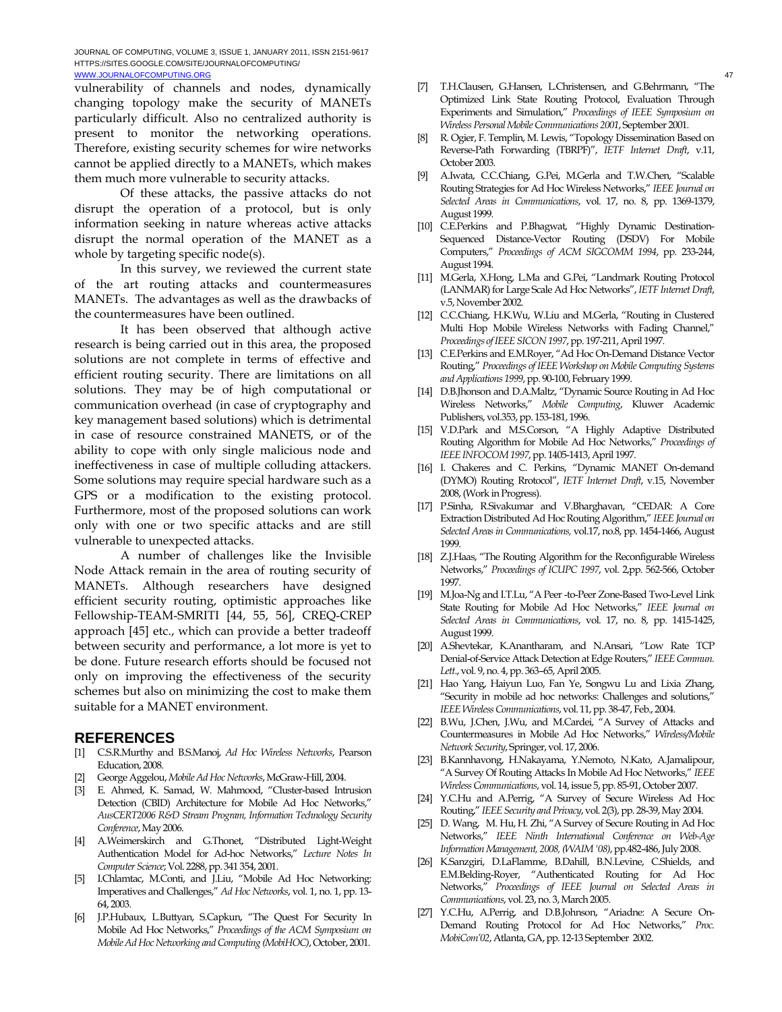vulnerability of channels and nodes, dynamically changing topology make the security of MANETs particularly difficult. Also no centralized authority is present to monitor the networking operations. Therefore, existing security schemes for wire networks cannot be applied directly to a MANETs, which makes them much more vulnerable to security attacks.

 Of these attacks, the passive attacks do not disrupt the operation of a protocol, but is only information seeking in nature whereas active attacks disrupt the normal operation of the MANET as a whole by targeting specific node(s).

 In this survey, we reviewed the current state of the art routing attacks and countermeasures MANETs. The advantages as well as the drawbacks of the countermeasures have been outlined.

 It has been observed that although active research is being carried out in this area, the proposed solutions are not complete in terms of effective and efficient routing security. There are limitations on all solutions. They may be of high computational or communication overhead (in case of cryptography and key management based solutions) which is detrimental in case of resource constrained MANETS, or of the ability to cope with only single malicious node and ineffectiveness in case of multiple colluding attackers. Some solutions may require special hardware such as a GPS or a modification to the existing protocol. Furthermore, most of the proposed solutions can work only with one or two specific attacks and are still vulnerable to unexpected attacks.

 A number of challenges like the Invisible Node Attack remain in the area of routing security of MANETs. Although researchers have designed efficient security routing, optimistic approaches like Fellowship-TEAM-SMRITI [44, 55, 56], CREQ-CREP approach [45] etc., which can provide a better tradeoff between security and performance, a lot more is yet to be done. Future research efforts should be focused not only on improving the effectiveness of the security schemes but also on minimizing the cost to make them suitable for a MANET environment.

### **REFERENCES**

- [1] C.S.R.Murthy and B.S.Manoj, *Ad Hoc Wireless Networks*, Pearson Education, 2008.
- [2] George Aggelou, *Mobile Ad Hoc Networks*, McGraw-Hill, 2004.
- [3] E. Ahmed, K. Samad, W. Mahmood, "Cluster-based Intrusion Detection (CBID) Architecture for Mobile Ad Hoc Networks," *AusCERT2006 R&D Stream Program, Information Technology Security Conference*, May 2006.
- [4] A.Weimerskirch and G.Thonet, "Distributed Light-Weight Authentication Model for Ad-hoc Networks," *Lecture Notes In Computer Science*; Vol. 2288, pp. 341 354, 2001.
- [5] I.Chlamtac, M.Conti, and J.Liu, "Mobile Ad Hoc Networking: Imperatives and Challenges," *Ad Hoc Networks*, vol. 1, no. 1, pp. 13- 64, 2003.
- [6] J.P.Hubaux, L.Buttyan, S.Capkun, "The Quest For Security In Mobile Ad Hoc Networks," *Proceedings of the ACM Symposium on Mobile Ad Hoc Networking and Computing (MobiHOC)*, October, 2001.
- [7] T.H.Clausen, G.Hansen, L.Christensen, and G.Behrmann, "The Optimized Link State Routing Protocol, Evaluation Through Experiments and Simulation," *Proceedings of IEEE Symposium on Wireless Personal Mobile Communications 2001*, September 2001.
- [8] R. Ogier, F. Templin, M. Lewis, "Topology Dissemination Based on Reverse-Path Forwarding (TBRPF)", *IETF Internet Draft*, v.11, October 2003.
- [9] A.Iwata, C.C.Chiang, G.Pei, M.Gerla and T.W.Chen, "Scalable Routing Strategies for Ad Hoc Wireless Networks," *IEEE Journal on Selected Areas in Communications*, vol. 17, no. 8, pp. 1369-1379, August 1999.
- [10] C.E.Perkins and P.Bhagwat, "Highly Dynamic Destination-Sequenced Distance-Vector Routing (DSDV) For Mobile Computers," *Proceedings of ACM SIGCOMM 1994*, pp. 233-244, August 1994.
- [11] M.Gerla, X.Hong, L.Ma and G.Pei, "Landmark Routing Protocol (LANMAR) for Large Scale Ad Hoc Networks", *IETF Internet Draft*, v.5, November 2002.
- [12] C.C.Chiang, H.K.Wu, W.Liu and M.Gerla, "Routing in Clustered Multi Hop Mobile Wireless Networks with Fading Channel," *Proceedings of IEEE SICON 1997*, pp. 197-211, April 1997.
- [13] C.E.Perkins and E.M.Royer, "Ad Hoc On-Demand Distance Vector Routing," *Proceedings of IEEE Workshop on Mobile Computing Systems and Applications 1999*, pp. 90-100, February 1999.
- [14] D.B.Jhonson and D.A.Maltz, "Dynamic Source Routing in Ad Hoc Wireless Networks," *Mobile Computing*, Kluwer Academic Publishers, vol.353, pp. 153-181, 1996.
- [15] V.D.Park and M.S.Corson, "A Highly Adaptive Distributed Routing Algorithm for Mobile Ad Hoc Networks," *Proceedings of IEEE INFOCOM 1997*, pp. 1405-1413, April 1997.
- [16] I. Chakeres and C. Perkins, "Dynamic MANET On-demand (DYMO) Routing Rrotocol", *IETF Internet Draft*, v.15, November 2008, (Work in Progress).
- [17] P.Sinha, R.Sivakumar and V.Bharghavan, "CEDAR: A Core Extraction Distributed Ad Hoc Routing Algorithm," *IEEE Journal on Selected Areas in Communications,* vol.17, no.8, pp. 1454-1466, August 1999.
- [18] Z.J.Haas, "The Routing Algorithm for the Reconfigurable Wireless Networks," *Proceedings of ICUPC 1997*, vol. 2,pp. 562-566, October 1997.
- [19] M.Joa-Ng and I.T.Lu, "A Peer -to-Peer Zone-Based Two-Level Link State Routing for Mobile Ad Hoc Networks," *IEEE Journal on Selected Areas in Communications*, vol. 17, no. 8, pp. 1415-1425, August 1999.
- [20] A.Shevtekar, K.Anantharam, and N.Ansari, "Low Rate TCP Denial-of-Service Attack Detection at Edge Routers," *IEEE Commun. Lett*., vol. 9, no. 4, pp. 363–65, April 2005.
- [21] Hao Yang, Haiyun Luo, Fan Ye, Songwu Lu and Lixia Zhang, "Security in mobile ad hoc networks: Challenges and solutions," *IEEE Wireless Communications*, vol. 11, pp. 38-47, Feb., 2004.
- [22] B.Wu, J.Chen, J.Wu, and M.Cardei, "A Survey of Attacks and Countermeasures in Mobile Ad Hoc Networks," *Wireless/Mobile Network Security*, Springer, vol. 17, 2006.
- [23] B.Kannhavong, H.Nakayama, Y.Nemoto, N.Kato, A.Jamalipour, "A Survey Of Routing Attacks In Mobile Ad Hoc Networks," *IEEE Wireless Communications*, vol. 14, issue 5, pp. 85-91, October 2007.
- [24] Y.C.Hu and A.Perrig, "A Survey of Secure Wireless Ad Hoc Routing," *IEEE Security and Privacy*, vol. 2(3), pp. 28-39, May 2004.
- [25] D. Wang, M. Hu, H. Zhi, "A Survey of Secure Routing in Ad Hoc Networks," *IEEE Ninth International Conference on Web-Age Information Management, 2008, (WAIM '08)*, pp.482-486, July 2008.
- [26] K.Sanzgiri, D.LaFlamme, B.Dahill, B.N.Levine, C.Shields, and E.M.Belding-Royer, "Authenticated Routing for Ad Hoc Networks," *Proceedings of IEEE Journal on Selected Areas in Communications*, vol. 23, no. 3, March 2005.
- [27] Y.C.Hu, A.Perrig, and D.B.Johnson, "Ariadne: A Secure On-Demand Routing Protocol for Ad Hoc Networks," *Proc. MobiCom'02*, Atlanta, GA, pp. 12-13 September 2002.